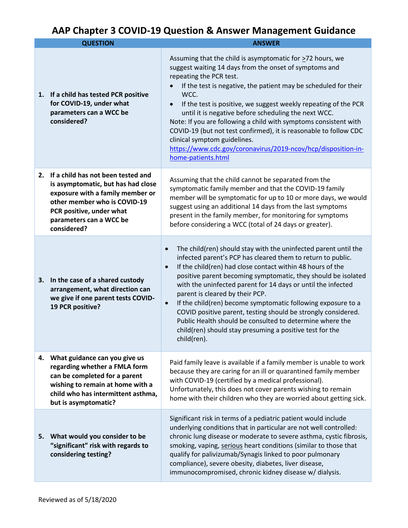## **AAP Chapter 3 COVID-19 Question & Answer Management Guidance**

|    | <b>QUESTION</b>                                                                                                                                                                                                    | <b>ANSWER</b>                                                                                                                                                                                                                                                                                                                                                                                                                                                                                                                                                                                                                                                                   |
|----|--------------------------------------------------------------------------------------------------------------------------------------------------------------------------------------------------------------------|---------------------------------------------------------------------------------------------------------------------------------------------------------------------------------------------------------------------------------------------------------------------------------------------------------------------------------------------------------------------------------------------------------------------------------------------------------------------------------------------------------------------------------------------------------------------------------------------------------------------------------------------------------------------------------|
|    | 1. If a child has tested PCR positive<br>for COVID-19, under what<br>parameters can a WCC be<br>considered?                                                                                                        | Assuming that the child is asymptomatic for $\geq$ 72 hours, we<br>suggest waiting 14 days from the onset of symptoms and<br>repeating the PCR test.<br>If the test is negative, the patient may be scheduled for their<br>$\bullet$<br>WCC.<br>If the test is positive, we suggest weekly repeating of the PCR<br>$\bullet$<br>until it is negative before scheduling the next WCC.<br>Note: If you are following a child with symptoms consistent with<br>COVID-19 (but not test confirmed), it is reasonable to follow CDC<br>clinical symptom guidelines.<br>https://www.cdc.gov/coronavirus/2019-ncov/hcp/disposition-in-<br>home-patients.html                            |
| 2. | If a child has not been tested and<br>is asymptomatic, but has had close<br>exposure with a family member or<br>other member who is COVID-19<br>PCR positive, under what<br>parameters can a WCC be<br>considered? | Assuming that the child cannot be separated from the<br>symptomatic family member and that the COVID-19 family<br>member will be symptomatic for up to 10 or more days, we would<br>suggest using an additional 14 days from the last symptoms<br>present in the family member, for monitoring for symptoms<br>before considering a WCC (total of 24 days or greater).                                                                                                                                                                                                                                                                                                          |
| 3. | In the case of a shared custody<br>arrangement, what direction can<br>we give if one parent tests COVID-<br>19 PCR positive?                                                                                       | The child(ren) should stay with the uninfected parent until the<br>$\bullet$<br>infected parent's PCP has cleared them to return to public.<br>If the child(ren) had close contact within 48 hours of the<br>$\bullet$<br>positive parent becoming symptomatic, they should be isolated<br>with the uninfected parent for 14 days or until the infected<br>parent is cleared by their PCP.<br>If the child(ren) become symptomatic following exposure to a<br>$\bullet$<br>COVID positive parent, testing should be strongly considered.<br>Public Health should be consulted to determine where the<br>child(ren) should stay presuming a positive test for the<br>child(ren). |
|    | 4. What guidance can you give us<br>regarding whether a FMLA form<br>can be completed for a parent<br>wishing to remain at home with a<br>child who has intermittent asthma,<br>but is asymptomatic?               | Paid family leave is available if a family member is unable to work<br>because they are caring for an ill or quarantined family member<br>with COVID-19 (certified by a medical professional).<br>Unfortunately, this does not cover parents wishing to remain<br>home with their children who they are worried about getting sick.                                                                                                                                                                                                                                                                                                                                             |
|    | 5. What would you consider to be<br>"significant" risk with regards to<br>considering testing?                                                                                                                     | Significant risk in terms of a pediatric patient would include<br>underlying conditions that in particular are not well controlled:<br>chronic lung disease or moderate to severe asthma, cystic fibrosis,<br>smoking, vaping, serious heart conditions (similar to those that<br>qualify for palivizumab/Synagis linked to poor pulmonary<br>compliance), severe obesity, diabetes, liver disease,<br>immunocompromised, chronic kidney disease w/ dialysis.                                                                                                                                                                                                                   |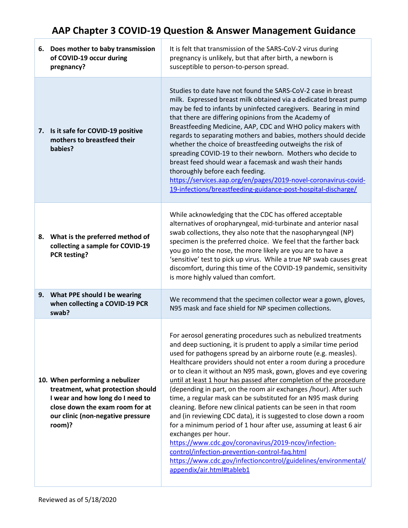## **AAP Chapter 3 COVID-19 Question & Answer Management Guidance**

| 6. Does mother to baby transmission<br>of COVID-19 occur during<br>pregnancy?                                                                                                              | It is felt that transmission of the SARS-CoV-2 virus during<br>pregnancy is unlikely, but that after birth, a newborn is<br>susceptible to person-to-person spread.                                                                                                                                                                                                                                                                                                                                                                                                                                                                                                                                                                                                                                                                                                                                                                                                                                   |
|--------------------------------------------------------------------------------------------------------------------------------------------------------------------------------------------|-------------------------------------------------------------------------------------------------------------------------------------------------------------------------------------------------------------------------------------------------------------------------------------------------------------------------------------------------------------------------------------------------------------------------------------------------------------------------------------------------------------------------------------------------------------------------------------------------------------------------------------------------------------------------------------------------------------------------------------------------------------------------------------------------------------------------------------------------------------------------------------------------------------------------------------------------------------------------------------------------------|
| 7. Is it safe for COVID-19 positive<br>mothers to breastfeed their<br>babies?                                                                                                              | Studies to date have not found the SARS-CoV-2 case in breast<br>milk. Expressed breast milk obtained via a dedicated breast pump<br>may be fed to infants by uninfected caregivers. Bearing in mind<br>that there are differing opinions from the Academy of<br>Breastfeeding Medicine, AAP, CDC and WHO policy makers with<br>regards to separating mothers and babies, mothers should decide<br>whether the choice of breastfeeding outweighs the risk of<br>spreading COVID-19 to their newborn. Mothers who decide to<br>breast feed should wear a facemask and wash their hands<br>thoroughly before each feeding.<br>https://services.aap.org/en/pages/2019-novel-coronavirus-covid-<br>19-infections/breastfeeding-guidance-post-hospital-discharge/                                                                                                                                                                                                                                           |
| 8. What is the preferred method of<br>collecting a sample for COVID-19<br><b>PCR testing?</b>                                                                                              | While acknowledging that the CDC has offered acceptable<br>alternatives of oropharyngeal, mid-turbinate and anterior nasal<br>swab collections, they also note that the nasopharyngeal (NP)<br>specimen is the preferred choice. We feel that the farther back<br>you go into the nose, the more likely are you are to have a<br>'sensitive' test to pick up virus. While a true NP swab causes great<br>discomfort, during this time of the COVID-19 pandemic, sensitivity<br>is more highly valued than comfort.                                                                                                                                                                                                                                                                                                                                                                                                                                                                                    |
| 9. What PPE should I be wearing<br>when collecting a COVID-19 PCR<br>swab?                                                                                                                 | We recommend that the specimen collector wear a gown, gloves,<br>N95 mask and face shield for NP specimen collections.                                                                                                                                                                                                                                                                                                                                                                                                                                                                                                                                                                                                                                                                                                                                                                                                                                                                                |
| 10. When performing a nebulizer<br>treatment, what protection should<br>I wear and how long do I need to<br>close down the exam room for at<br>our clinic (non-negative pressure<br>room)? | For aerosol generating procedures such as nebulized treatments<br>and deep suctioning, it is prudent to apply a similar time period<br>used for pathogens spread by an airborne route (e.g. measles).<br>Healthcare providers should not enter a room during a procedure<br>or to clean it without an N95 mask, gown, gloves and eye covering<br>until at least 1 hour has passed after completion of the procedure<br>(depending in part, on the room air exchanges /hour). After such<br>time, a regular mask can be substituted for an N95 mask during<br>cleaning. Before new clinical patients can be seen in that room<br>and (in reviewing CDC data), it is suggested to close down a room<br>for a minimum period of 1 hour after use, assuming at least 6 air<br>exchanges per hour.<br>https://www.cdc.gov/coronavirus/2019-ncov/infection-<br>control/infection-prevention-control-faq.html<br>https://www.cdc.gov/infectioncontrol/guidelines/environmental/<br>appendix/air.html#tableb1 |